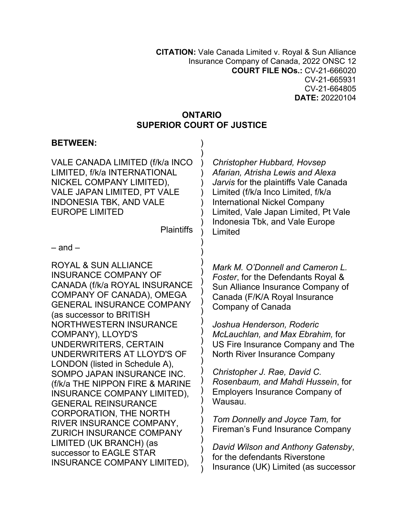**CITATION:** Vale Canada Limited v. Royal & Sun Alliance Insurance Company of Canada, 2022 ONSC 12 **COURT FILE NOs.:** CV-21-666020 CV-21-665931 CV-21-664805 **DATE:** 20220104

## **ONTARIO SUPERIOR COURT OF JUSTICE**

| <b>BETWEEN:</b>                                                                                                                                                                                                                                                                                                                                                                                                                                                                                                                                                                                                                                                              |                                                                                                                                                                                                                                                                                   |
|------------------------------------------------------------------------------------------------------------------------------------------------------------------------------------------------------------------------------------------------------------------------------------------------------------------------------------------------------------------------------------------------------------------------------------------------------------------------------------------------------------------------------------------------------------------------------------------------------------------------------------------------------------------------------|-----------------------------------------------------------------------------------------------------------------------------------------------------------------------------------------------------------------------------------------------------------------------------------|
| VALE CANADA LIMITED (f/k/a INCO<br>LIMITED, f/k/a INTERNATIONAL<br>NICKEL COMPANY LIMITED),<br>VALE JAPAN LIMITED, PT VALE<br><b>INDONESIA TBK, AND VALE</b><br><b>EUROPE LIMITED</b><br><b>Plaintiffs</b><br>$-$ and $-$                                                                                                                                                                                                                                                                                                                                                                                                                                                    | <b>Christopher Hubbard, Hovsep</b><br>Afarian, Atrisha Lewis and Alexa<br>Jarvis for the plaintiffs Vale Canada<br>Limited (f/k/a Inco Limited, f/k/a<br><b>International Nickel Company</b><br>Limited, Vale Japan Limited, Pt Vale<br>Indonesia Tbk, and Vale Europe<br>Limited |
|                                                                                                                                                                                                                                                                                                                                                                                                                                                                                                                                                                                                                                                                              |                                                                                                                                                                                                                                                                                   |
| <b>ROYAL &amp; SUN ALLIANCE</b><br><b>INSURANCE COMPANY OF</b><br>CANADA (f/k/a ROYAL INSURANCE<br>COMPANY OF CANADA), OMEGA<br><b>GENERAL INSURANCE COMPANY</b><br>(as successor to BRITISH<br><b>NORTHWESTERN INSURANCE</b><br>COMPANY), LLOYD'S<br>UNDERWRITERS, CERTAIN<br>UNDERWRITERS AT LLOYD'S OF<br>LONDON (listed in Schedule A),<br>SOMPO JAPAN INSURANCE INC.<br>(f/k/a THE NIPPON FIRE & MARINE<br><b>INSURANCE COMPANY LIMITED),</b><br><b>GENERAL REINSURANCE</b><br><b>CORPORATION, THE NORTH</b><br>RIVER INSURANCE COMPANY,<br><b>ZURICH INSURANCE COMPANY</b><br>LIMITED (UK BRANCH) (as<br>successor to EAGLE STAR<br><b>INSURANCE COMPANY LIMITED),</b> | Mark M. O'Donnell and Cameron L.<br>Foster, for the Defendants Royal &<br>Sun Alliance Insurance Company of<br>Canada (F/K/A Royal Insurance<br>Company of Canada                                                                                                                 |
|                                                                                                                                                                                                                                                                                                                                                                                                                                                                                                                                                                                                                                                                              | Joshua Henderson, Roderic<br>McLauchlan, and Max Ebrahim, for<br>US Fire Insurance Company and The<br>North River Insurance Company                                                                                                                                               |
|                                                                                                                                                                                                                                                                                                                                                                                                                                                                                                                                                                                                                                                                              | Christopher J. Rae, David C.<br>Rosenbaum, and Mahdi Hussein, for<br><b>Employers Insurance Company of</b><br>Wausau.                                                                                                                                                             |
|                                                                                                                                                                                                                                                                                                                                                                                                                                                                                                                                                                                                                                                                              | Tom Donnelly and Joyce Tam, for<br><b>Fireman's Fund Insurance Company</b>                                                                                                                                                                                                        |
|                                                                                                                                                                                                                                                                                                                                                                                                                                                                                                                                                                                                                                                                              | David Wilson and Anthony Gatensby,<br>for the defendants Riverstone<br>Insurance (UK) Limited (as successor                                                                                                                                                                       |
|                                                                                                                                                                                                                                                                                                                                                                                                                                                                                                                                                                                                                                                                              |                                                                                                                                                                                                                                                                                   |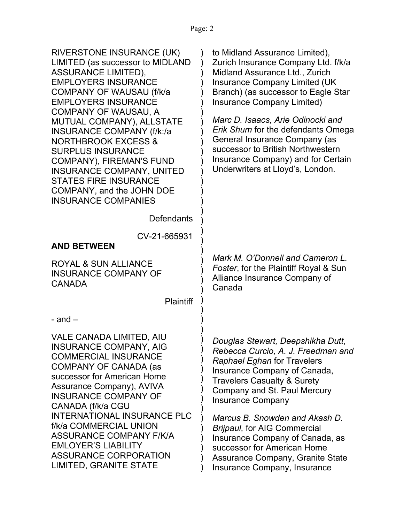| to Midland Assurance Limited),<br>Zurich Insurance Company Ltd. f/k/a<br>Midland Assurance Ltd., Zurich<br><b>Insurance Company Limited (UK</b><br>Branch) (as successor to Eagle Star<br>Insurance Company Limited)<br>Marc D. Isaacs, Arie Odinocki and<br>Erik Shum for the defendants Omega<br>General Insurance Company (as<br>successor to British Northwestern<br>Insurance Company) and for Certain<br>Underwriters at Lloyd's, London.                           |
|---------------------------------------------------------------------------------------------------------------------------------------------------------------------------------------------------------------------------------------------------------------------------------------------------------------------------------------------------------------------------------------------------------------------------------------------------------------------------|
|                                                                                                                                                                                                                                                                                                                                                                                                                                                                           |
|                                                                                                                                                                                                                                                                                                                                                                                                                                                                           |
|                                                                                                                                                                                                                                                                                                                                                                                                                                                                           |
| Mark M. O'Donnell and Cameron L.<br>Foster, for the Plaintiff Royal & Sun<br>Alliance Insurance Company of<br>Canada                                                                                                                                                                                                                                                                                                                                                      |
|                                                                                                                                                                                                                                                                                                                                                                                                                                                                           |
|                                                                                                                                                                                                                                                                                                                                                                                                                                                                           |
| Douglas Stewart, Deepshikha Dutt,<br>Rebecca Curcio, A. J. Freedman and<br><b>Raphael Eghan for Travelers</b><br>Insurance Company of Canada,<br><b>Travelers Casualty &amp; Surety</b><br>Company and St. Paul Mercury<br><b>Insurance Company</b><br>Marcus B. Snowden and Akash D.<br><b>Brijpaul, for AIG Commercial</b><br>Insurance Company of Canada, as<br>successor for American Home<br><b>Assurance Company, Granite State</b><br>Insurance Company, Insurance |
|                                                                                                                                                                                                                                                                                                                                                                                                                                                                           |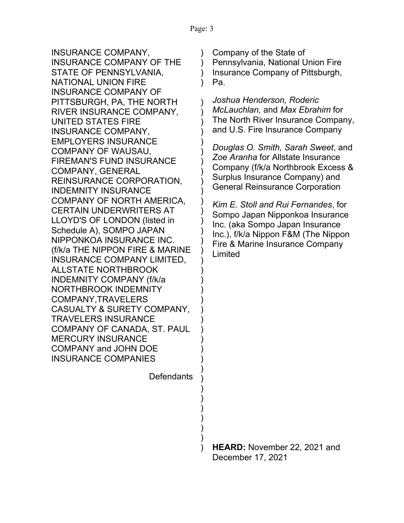)  $\lambda$ 

) ) ) ) ) ) ) ) ) ) ) ) ) ) ) ) ) ) ) ) ) ) ) ) ) ) ) ) ) ) ) ) ) ) )

INSURANCE COMPANY, INSURANCE COMPANY OF THE STATE OF PENNSYLVANIA, NATIONAL UNION FIRE INSURANCE COMPANY OF PITTSBURGH, PA, THE NORTH RIVER INSURANCE COMPANY, UNITED STATES FIRE INSURANCE COMPANY, EMPLOYERS INSURANCE COMPANY OF WAUSAU, FIREMAN'S FUND INSURANCE COMPANY, GENERAL REINSURANCE CORPORATION, INDEMNITY INSURANCE COMPANY OF NORTH AMERICA, CERTAIN UNDERWRITERS AT LLOYD'S OF LONDON (listed in Schedule A), SOMPO JAPAN NIPPONKOA INSURANCE INC. (f/k/a THE NIPPON FIRE & MARINE INSURANCE COMPANY LIMITED, ALLSTATE NORTHBROOK INDEMNITY COMPANY (f/k/a NORTHBROOK INDEMNITY COMPANY,TRAVELERS CASUALTY & SURETY COMPANY, TRAVELERS INSURANCE COMPANY OF CANADA, ST. PAUL MERCURY INSURANCE COMPANY and JOHN DOE INSURANCE COMPANIES

**Defendants** 

) ) Company of the State of Pennsylvania, National Union Fire Insurance Company of Pittsburgh, Pa.

*Joshua Henderson, Roderic McLauchlan,* and *Max Ebrahim* for The North River Insurance Company, and U.S. Fire Insurance Company

*Douglas O. Smith, Sarah Sweet*, and *Zoe Aranha* for Allstate Insurance Company (f/k/a Northbrook Excess & Surplus Insurance Company) and General Reinsurance Corporation

*Kim E. Stoll and Rui Fernandes*, for Sompo Japan Nipponkoa Insurance Inc. (aka Sompo Japan Insurance Inc.), f/k/a Nippon F&M (The Nippon Fire & Marine Insurance Company Limited

 ) **HEARD:** November 22, 2021 and December 17, 2021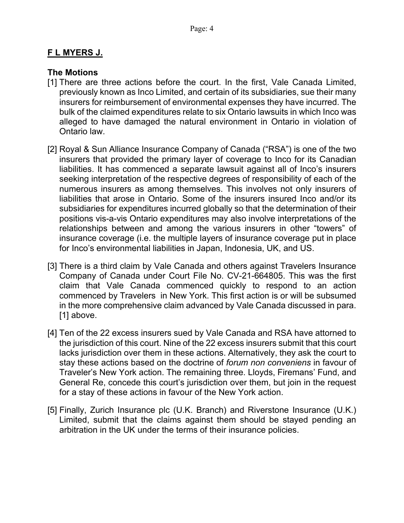## **F L MYERS J.**

## **The Motions**

- [1] There are three actions before the court. In the first, Vale Canada Limited, previously known as Inco Limited, and certain of its subsidiaries, sue their many insurers for reimbursement of environmental expenses they have incurred. The bulk of the claimed expenditures relate to six Ontario lawsuits in which Inco was alleged to have damaged the natural environment in Ontario in violation of Ontario law.
- [2] Royal & Sun Alliance Insurance Company of Canada ("RSA") is one of the two insurers that provided the primary layer of coverage to Inco for its Canadian liabilities. It has commenced a separate lawsuit against all of Inco's insurers seeking interpretation of the respective degrees of responsibility of each of the numerous insurers as among themselves. This involves not only insurers of liabilities that arose in Ontario. Some of the insurers insured Inco and/or its subsidiaries for expenditures incurred globally so that the determination of their positions vis-a-vis Ontario expenditures may also involve interpretations of the relationships between and among the various insurers in other "towers" of insurance coverage (i.e. the multiple layers of insurance coverage put in place for Inco's environmental liabilities in Japan, Indonesia, UK, and US.
- [3] There is a third claim by Vale Canada and others against Travelers Insurance Company of Canada under Court File No. CV-21-664805. This was the first claim that Vale Canada commenced quickly to respond to an action commenced by Travelers in New York. This first action is or will be subsumed in the more comprehensive claim advanced by Vale Canada discussed in para. [1] above.
- [4] Ten of the 22 excess insurers sued by Vale Canada and RSA have attorned to the jurisdiction of this court. Nine of the 22 excess insurers submit that this court lacks jurisdiction over them in these actions. Alternatively, they ask the court to stay these actions based on the doctrine of *forum non conveniens* in favour of Traveler's New York action. The remaining three. Lloyds, Firemans' Fund, and General Re, concede this court's jurisdiction over them, but join in the request for a stay of these actions in favour of the New York action.
- [5] Finally, Zurich Insurance plc (U.K. Branch) and Riverstone Insurance (U.K.) Limited, submit that the claims against them should be stayed pending an arbitration in the UK under the terms of their insurance policies.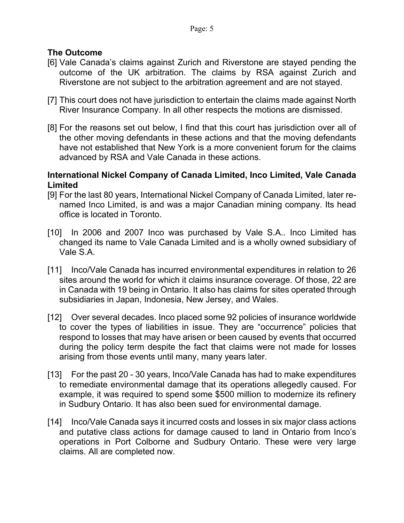# **The Outcome**

- [6] Vale Canada's claims against Zurich and Riverstone are stayed pending the outcome of the UK arbitration. The claims by RSA against Zurich and Riverstone are not subject to the arbitration agreement and are not stayed.
- [7] This court does not have jurisdiction to entertain the claims made against North River Insurance Company. In all other respects the motions are dismissed.
- [8] For the reasons set out below, I find that this court has jurisdiction over all of the other moving defendants in these actions and that the moving defendants have not established that New York is a more convenient forum for the claims advanced by RSA and Vale Canada in these actions.

## **International Nickel Company of Canada Limited, Inco Limited, Vale Canada Limited**

- [9] For the last 80 years, International Nickel Company of Canada Limited, later renamed Inco Limited, is and was a major Canadian mining company. Its head office is located in Toronto.
- [10] In 2006 and 2007 Inco was purchased by Vale S.A.. Inco Limited has changed its name to Vale Canada Limited and is a wholly owned subsidiary of Vale S.A.
- [11] Inco/Vale Canada has incurred environmental expenditures in relation to 26 sites around the world for which it claims insurance coverage. Of those, 22 are in Canada with 19 being in Ontario. It also has claims for sites operated through subsidiaries in Japan, Indonesia, New Jersey, and Wales.
- [12] Over several decades. Inco placed some 92 policies of insurance worldwide to cover the types of liabilities in issue. They are "occurrence" policies that respond to losses that may have arisen or been caused by events that occurred during the policy term despite the fact that claims were not made for losses arising from those events until many, many years later.
- [13] For the past 20 30 years, Inco/Vale Canada has had to make expenditures to remediate environmental damage that its operations allegedly caused. For example, it was required to spend some \$500 million to modernize its refinery in Sudbury Ontario. It has also been sued for environmental damage.
- [14] Inco/Vale Canada says it incurred costs and losses in six major class actions and putative class actions for damage caused to land in Ontario from Inco's operations in Port Colborne and Sudbury Ontario. These were very large claims. All are completed now.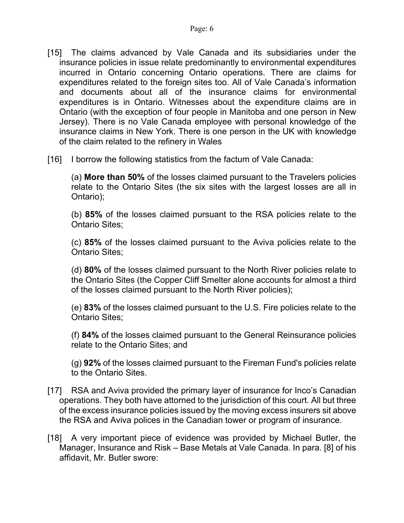- [15] The claims advanced by Vale Canada and its subsidiaries under the insurance policies in issue relate predominantly to environmental expenditures incurred in Ontario concerning Ontario operations. There are claims for expenditures related to the foreign sites too. All of Vale Canada's information and documents about all of the insurance claims for environmental expenditures is in Ontario. Witnesses about the expenditure claims are in Ontario (with the exception of four people in Manitoba and one person in New Jersey). There is no Vale Canada employee with personal knowledge of the insurance claims in New York. There is one person in the UK with knowledge of the claim related to the refinery in Wales
- [16] I borrow the following statistics from the factum of Vale Canada:

(a) **More than 50%** of the losses claimed pursuant to the Travelers policies relate to the Ontario Sites (the six sites with the largest losses are all in Ontario);

(b) **85%** of the losses claimed pursuant to the RSA policies relate to the Ontario Sites;

(c) **85%** of the losses claimed pursuant to the Aviva policies relate to the Ontario Sites;

(d) **80%** of the losses claimed pursuant to the North River policies relate to the Ontario Sites (the Copper Cliff Smelter alone accounts for almost a third of the losses claimed pursuant to the North River policies);

(e) **83%** of the losses claimed pursuant to the U.S. Fire policies relate to the Ontario Sites;

(f) **84%** of the losses claimed pursuant to the General Reinsurance policies relate to the Ontario Sites; and

(g) **92%** of the losses claimed pursuant to the Fireman Fund's policies relate to the Ontario Sites.

- [17] RSA and Aviva provided the primary layer of insurance for Inco's Canadian operations. They both have attorned to the jurisdiction of this court. All but three of the excess insurance policies issued by the moving excess insurers sit above the RSA and Aviva polices in the Canadian tower or program of insurance.
- [18] A very important piece of evidence was provided by Michael Butler, the Manager, Insurance and Risk – Base Metals at Vale Canada. In para. [8] of his affidavit, Mr. Butler swore: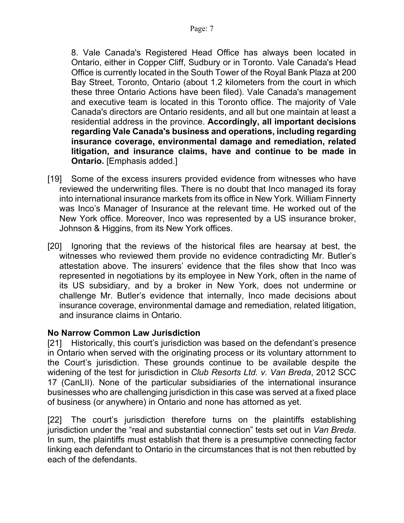8. Vale Canada's Registered Head Office has always been located in Ontario, either in Copper Cliff, Sudbury or in Toronto. Vale Canada's Head Office is currently located in the South Tower of the Royal Bank Plaza at 200 Bay Street, Toronto, Ontario (about 1.2 kilometers from the court in which these three Ontario Actions have been filed). Vale Canada's management and executive team is located in this Toronto office. The majority of Vale Canada's directors are Ontario residents, and all but one maintain at least a residential address in the province. **Accordingly, all important decisions regarding Vale Canada's business and operations, including regarding insurance coverage, environmental damage and remediation, related litigation, and insurance claims, have and continue to be made in Ontario.** [Emphasis added.]

- [19] Some of the excess insurers provided evidence from witnesses who have reviewed the underwriting files. There is no doubt that Inco managed its foray into international insurance markets from its office in New York. William Finnerty was Inco's Manager of Insurance at the relevant time. He worked out of the New York office. Moreover, Inco was represented by a US insurance broker, Johnson & Higgins, from its New York offices.
- [20] Ignoring that the reviews of the historical files are hearsay at best, the witnesses who reviewed them provide no evidence contradicting Mr. Butler's attestation above. The insurers' evidence that the files show that Inco was represented in negotiations by its employee in New York, often in the name of its US subsidiary, and by a broker in New York, does not undermine or challenge Mr. Butler's evidence that internally, Inco made decisions about insurance coverage, environmental damage and remediation, related litigation, and insurance claims in Ontario.

# **No Narrow Common Law Jurisdiction**

[21] Historically, this court's jurisdiction was based on the defendant's presence in Ontario when served with the originating process or its voluntary attornment to the Court's jurisdiction. These grounds continue to be available despite the widening of the test for jurisdiction in *Club Resorts Ltd. v. Van Breda*, 2012 SCC 17 (CanLII). None of the particular subsidiaries of the international insurance businesses who are challenging jurisdiction in this case was served at a fixed place of business (or anywhere) in Ontario and none has attorned as yet.

[22] The court's jurisdiction therefore turns on the plaintiffs establishing jurisdiction under the "real and substantial connection" tests set out in *Van Breda*. In sum, the plaintiffs must establish that there is a presumptive connecting factor linking each defendant to Ontario in the circumstances that is not then rebutted by each of the defendants.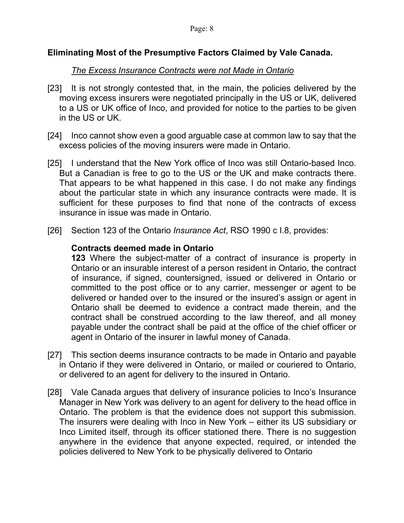## **Eliminating Most of the Presumptive Factors Claimed by Vale Canada.**

### *The Excess Insurance Contracts were not Made in Ontario*

- [23] It is not strongly contested that, in the main, the policies delivered by the moving excess insurers were negotiated principally in the US or UK, delivered to a US or UK office of Inco, and provided for notice to the parties to be given in the US or UK.
- [24] Inco cannot show even a good arguable case at common law to say that the excess policies of the moving insurers were made in Ontario.
- [25] I understand that the New York office of Inco was still Ontario-based Inco. But a Canadian is free to go to the US or the UK and make contracts there. That appears to be what happened in this case. I do not make any findings about the particular state in which any insurance contracts were made. It is sufficient for these purposes to find that none of the contracts of excess insurance in issue was made in Ontario.
- [26] Section 123 of the Ontario *Insurance Act*, RSO 1990 c I.8, provides:

### **Contracts deemed made in Ontario**

**123** Where the subject-matter of a contract of insurance is property in Ontario or an insurable interest of a person resident in Ontario, the contract of insurance, if signed, countersigned, issued or delivered in Ontario or committed to the post office or to any carrier, messenger or agent to be delivered or handed over to the insured or the insured's assign or agent in Ontario shall be deemed to evidence a contract made therein, and the contract shall be construed according to the law thereof, and all money payable under the contract shall be paid at the office of the chief officer or agent in Ontario of the insurer in lawful money of Canada.

- [27] This section deems insurance contracts to be made in Ontario and payable in Ontario if they were delivered in Ontario, or mailed or couriered to Ontario, or delivered to an agent for delivery to the insured in Ontario.
- [28] Vale Canada argues that delivery of insurance policies to Inco's Insurance Manager in New York was delivery to an agent for delivery to the head office in Ontario. The problem is that the evidence does not support this submission. The insurers were dealing with Inco in New York – either its US subsidiary or Inco Limited itself, through its officer stationed there. There is no suggestion anywhere in the evidence that anyone expected, required, or intended the policies delivered to New York to be physically delivered to Ontario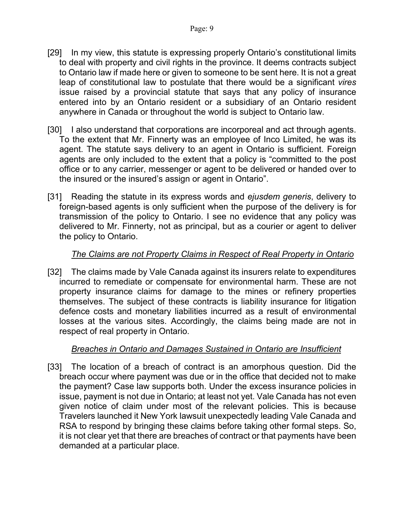- [29] In my view, this statute is expressing properly Ontario's constitutional limits to deal with property and civil rights in the province. It deems contracts subject to Ontario law if made here or given to someone to be sent here. It is not a great leap of constitutional law to postulate that there would be a significant *vires* issue raised by a provincial statute that says that any policy of insurance entered into by an Ontario resident or a subsidiary of an Ontario resident anywhere in Canada or throughout the world is subject to Ontario law.
- [30] I also understand that corporations are incorporeal and act through agents. To the extent that Mr. Finnerty was an employee of Inco Limited, he was its agent. The statute says delivery to an agent in Ontario is sufficient. Foreign agents are only included to the extent that a policy is "committed to the post office or to any carrier, messenger or agent to be delivered or handed over to the insured or the insured's assign or agent in Ontario".
- [31] Reading the statute in its express words and *ejusdem generis*, delivery to foreign-based agents is only sufficient when the purpose of the delivery is for transmission of the policy to Ontario. I see no evidence that any policy was delivered to Mr. Finnerty, not as principal, but as a courier or agent to deliver the policy to Ontario.

## *The Claims are not Property Claims in Respect of Real Property in Ontario*

[32] The claims made by Vale Canada against its insurers relate to expenditures incurred to remediate or compensate for environmental harm. These are not property insurance claims for damage to the mines or refinery properties themselves. The subject of these contracts is liability insurance for litigation defence costs and monetary liabilities incurred as a result of environmental losses at the various sites. Accordingly, the claims being made are not in respect of real property in Ontario.

### *Breaches in Ontario and Damages Sustained in Ontario are Insufficient*

[33] The location of a breach of contract is an amorphous question. Did the breach occur where payment was due or in the office that decided not to make the payment? Case law supports both. Under the excess insurance policies in issue, payment is not due in Ontario; at least not yet. Vale Canada has not even given notice of claim under most of the relevant policies. This is because Travelers launched it New York lawsuit unexpectedly leading Vale Canada and RSA to respond by bringing these claims before taking other formal steps. So, it is not clear yet that there are breaches of contract or that payments have been demanded at a particular place.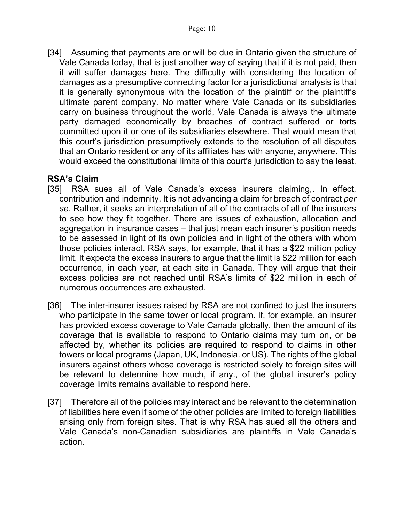[34] Assuming that payments are or will be due in Ontario given the structure of Vale Canada today, that is just another way of saying that if it is not paid, then it will suffer damages here. The difficulty with considering the location of damages as a presumptive connecting factor for a jurisdictional analysis is that it is generally synonymous with the location of the plaintiff or the plaintiff's ultimate parent company. No matter where Vale Canada or its subsidiaries carry on business throughout the world, Vale Canada is always the ultimate party damaged economically by breaches of contract suffered or torts committed upon it or one of its subsidiaries elsewhere. That would mean that this court's jurisdiction presumptively extends to the resolution of all disputes that an Ontario resident or any of its affiliates has with anyone, anywhere. This would exceed the constitutional limits of this court's jurisdiction to say the least.

# **RSA's Claim**

- [35] RSA sues all of Vale Canada's excess insurers claiming, In effect, contribution and indemnity. It is not advancing a claim for breach of contract *per se*. Rather, it seeks an interpretation of all of the contracts of all of the insurers to see how they fit together. There are issues of exhaustion, allocation and aggregation in insurance cases – that just mean each insurer's position needs to be assessed in light of its own policies and in light of the others with whom those policies interact. RSA says, for example, that it has a \$22 million policy limit. It expects the excess insurers to argue that the limit is \$22 million for each occurrence, in each year, at each site in Canada. They will argue that their excess policies are not reached until RSA's limits of \$22 million in each of numerous occurrences are exhausted.
- [36] The inter-insurer issues raised by RSA are not confined to just the insurers who participate in the same tower or local program. If, for example, an insurer has provided excess coverage to Vale Canada globally, then the amount of its coverage that is available to respond to Ontario claims may turn on, or be affected by, whether its policies are required to respond to claims in other towers or local programs (Japan, UK, Indonesia. or US). The rights of the global insurers against others whose coverage is restricted solely to foreign sites will be relevant to determine how much, if any., of the global insurer's policy coverage limits remains available to respond here.
- [37] Therefore all of the policies may interact and be relevant to the determination of liabilities here even if some of the other policies are limited to foreign liabilities arising only from foreign sites. That is why RSA has sued all the others and Vale Canada's non-Canadian subsidiaries are plaintiffs in Vale Canada's action.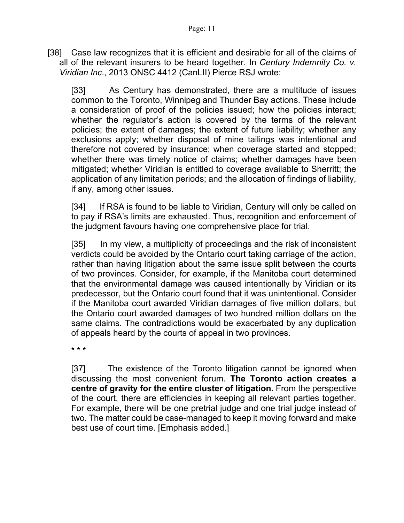[38] Case law recognizes that it is efficient and desirable for all of the claims of all of the relevant insurers to be heard together. In *Century Indemnity Co. v. Viridian Inc*., 2013 ONSC 4412 (CanLII) Pierce RSJ wrote:

[33] As Century has demonstrated, there are a multitude of issues common to the Toronto, Winnipeg and Thunder Bay actions. These include a consideration of proof of the policies issued; how the policies interact; whether the regulator's action is covered by the terms of the relevant policies; the extent of damages; the extent of future liability; whether any exclusions apply; whether disposal of mine tailings was intentional and therefore not covered by insurance; when coverage started and stopped; whether there was timely notice of claims; whether damages have been mitigated; whether Viridian is entitled to coverage available to Sherritt; the application of any limitation periods; and the allocation of findings of liability, if any, among other issues.

[34] If RSA is found to be liable to Viridian, Century will only be called on to pay if RSA's limits are exhausted. Thus, recognition and enforcement of the judgment favours having one comprehensive place for trial.

[35] In my view, a multiplicity of proceedings and the risk of inconsistent verdicts could be avoided by the Ontario court taking carriage of the action, rather than having litigation about the same issue split between the courts of two provinces. Consider, for example, if the Manitoba court determined that the environmental damage was caused intentionally by Viridian or its predecessor, but the Ontario court found that it was unintentional. Consider if the Manitoba court awarded Viridian damages of five million dollars, but the Ontario court awarded damages of two hundred million dollars on the same claims. The contradictions would be exacerbated by any duplication of appeals heard by the courts of appeal in two provinces.

\* \* \*

[37] The existence of the Toronto litigation cannot be ignored when discussing the most convenient forum. **The Toronto action creates a centre of gravity for the entire cluster of litigation.** From the perspective of the court, there are efficiencies in keeping all relevant parties together. For example, there will be one pretrial judge and one trial judge instead of two. The matter could be case-managed to keep it moving forward and make best use of court time. [Emphasis added.]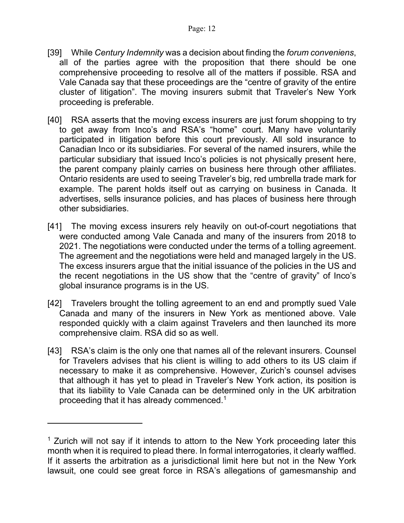- [39] While *Century Indemnity* was a decision about finding the *forum conveniens*, all of the parties agree with the proposition that there should be one comprehensive proceeding to resolve all of the matters if possible. RSA and Vale Canada say that these proceedings are the "centre of gravity of the entire cluster of litigation". The moving insurers submit that Traveler's New York proceeding is preferable.
- [40] RSA asserts that the moving excess insurers are just forum shopping to try to get away from Inco's and RSA's "home" court. Many have voluntarily participated in litigation before this court previously. All sold insurance to Canadian Inco or its subsidiaries. For several of the named insurers, while the particular subsidiary that issued Inco's policies is not physically present here, the parent company plainly carries on business here through other affiliates. Ontario residents are used to seeing Traveler's big, red umbrella trade mark for example. The parent holds itself out as carrying on business in Canada. It advertises, sells insurance policies, and has places of business here through other subsidiaries.
- [41] The moving excess insurers rely heavily on out-of-court negotiations that were conducted among Vale Canada and many of the insurers from 2018 to 2021. The negotiations were conducted under the terms of a tolling agreement. The agreement and the negotiations were held and managed largely in the US. The excess insurers argue that the initial issuance of the policies in the US and the recent negotiations in the US show that the "centre of gravity" of Inco's global insurance programs is in the US.
- [42] Travelers brought the tolling agreement to an end and promptly sued Vale Canada and many of the insurers in New York as mentioned above. Vale responded quickly with a claim against Travelers and then launched its more comprehensive claim. RSA did so as well.
- [43] RSA's claim is the only one that names all of the relevant insurers. Counsel for Travelers advises that his client is willing to add others to its US claim if necessary to make it as comprehensive. However, Zurich's counsel advises that although it has yet to plead in Traveler's New York action, its position is that its liability to Vale Canada can be determined only in the UK arbitration proceeding that it has already commenced.<sup>1</sup>

<sup>&</sup>lt;sup>1</sup> Zurich will not say if it intends to attorn to the New York proceeding later this month when it is required to plead there. In formal interrogatories, it clearly waffled. If it asserts the arbitration as a jurisdictional limit here but not in the New York lawsuit, one could see great force in RSA's allegations of gamesmanship and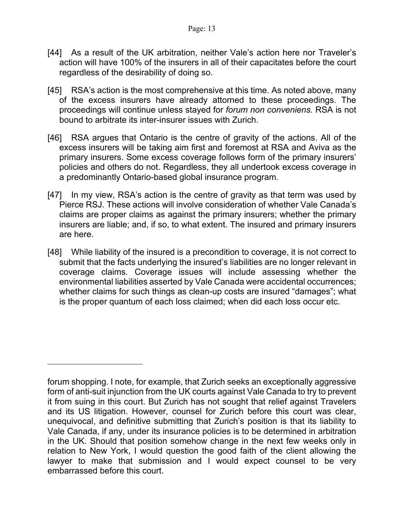- [44] As a result of the UK arbitration, neither Vale's action here nor Traveler's action will have 100% of the insurers in all of their capacitates before the court regardless of the desirability of doing so.
- [45] RSA's action is the most comprehensive at this time. As noted above, many of the excess insurers have already attorned to these proceedings. The proceedings will continue unless stayed for *forum non conveniens.* RSA is not bound to arbitrate its inter-insurer issues with Zurich.
- [46] RSA argues that Ontario is the centre of gravity of the actions. All of the excess insurers will be taking aim first and foremost at RSA and Aviva as the primary insurers. Some excess coverage follows form of the primary insurers' policies and others do not. Regardless, they all undertook excess coverage in a predominantly Ontario-based global insurance program.
- [47] In my view, RSA's action is the centre of gravity as that term was used by Pierce RSJ. These actions will involve consideration of whether Vale Canada's claims are proper claims as against the primary insurers; whether the primary insurers are liable; and, if so, to what extent. The insured and primary insurers are here.
- [48] While liability of the insured is a precondition to coverage, it is not correct to submit that the facts underlying the insured's liabilities are no longer relevant in coverage claims. Coverage issues will include assessing whether the environmental liabilities asserted by Vale Canada were accidental occurrences; whether claims for such things as clean-up costs are insured "damages"; what is the proper quantum of each loss claimed; when did each loss occur etc.

forum shopping. I note, for example, that Zurich seeks an exceptionally aggressive form of anti-suit injunction from the UK courts against Vale Canada to try to prevent it from suing in this court. But Zurich has not sought that relief against Travelers and its US litigation. However, counsel for Zurich before this court was clear, unequivocal, and definitive submitting that Zurich's position is that its liability to Vale Canada, if any, under its insurance policies is to be determined in arbitration in the UK. Should that position somehow change in the next few weeks only in relation to New York, I would question the good faith of the client allowing the lawyer to make that submission and I would expect counsel to be very embarrassed before this court.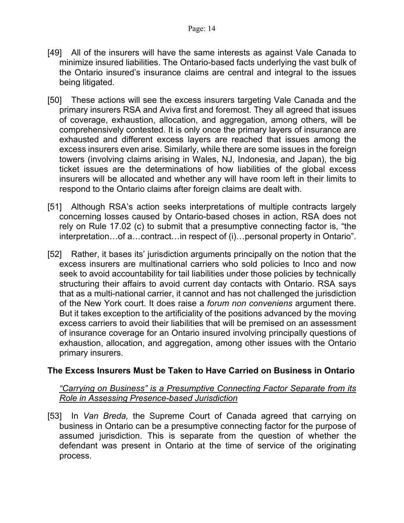- [49] All of the insurers will have the same interests as against Vale Canada to minimize insured liabilities. The Ontario-based facts underlying the vast bulk of the Ontario insured's insurance claims are central and integral to the issues being litigated.
- [50] These actions will see the excess insurers targeting Vale Canada and the primary insurers RSA and Aviva first and foremost. They all agreed that issues of coverage, exhaustion, allocation, and aggregation, among others, will be comprehensively contested. It is only once the primary layers of insurance are exhausted and different excess layers are reached that issues among the excess insurers even arise. Similarly, while there are some issues in the foreign towers (involving claims arising in Wales, NJ, Indonesia, and Japan), the big ticket issues are the determinations of how liabilities of the global excess insurers will be allocated and whether any will have room left in their limits to respond to the Ontario claims after foreign claims are dealt with.
- [51] Although RSA's action seeks interpretations of multiple contracts largely concerning losses caused by Ontario-based choses in action, RSA does not rely on Rule 17.02 (c) to submit that a presumptive connecting factor is, "the interpretation…of a…contract…in respect of (i)…personal property in Ontario".
- [52] Rather, it bases its' jurisdiction arguments principally on the notion that the excess insurers are multinational carriers who sold policies to Inco and now seek to avoid accountability for tail liabilities under those policies by technically structuring their affairs to avoid current day contacts with Ontario. RSA says that as a multi-national carrier, it cannot and has not challenged the jurisdiction of the New York court. It does raise a *forum non conveniens* argument there. But it takes exception to the artificiality of the positions advanced by the moving excess carriers to avoid their liabilities that will be premised on an assessment of insurance coverage for an Ontario insured involving principally questions of exhaustion, allocation, and aggregation, among other issues with the Ontario primary insurers.

### **The Excess Insurers Must be Taken to Have Carried on Business in Ontario**

### *"Carrying on Business" is a Presumptive Connecting Factor Separate from its Role in Assessing Presence-based Jurisdiction*

[53] In *Van Breda,* the Supreme Court of Canada agreed that carrying on business in Ontario can be a presumptive connecting factor for the purpose of assumed jurisdiction. This is separate from the question of whether the defendant was present in Ontario at the time of service of the originating process.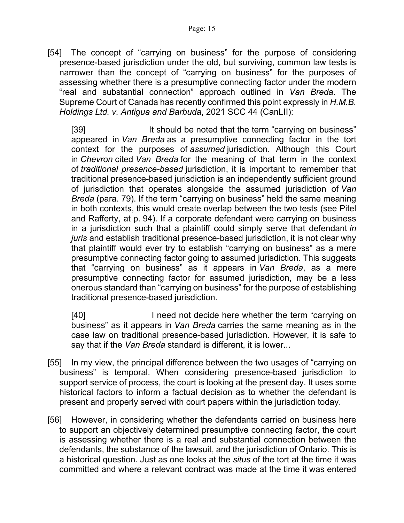[54] The concept of "carrying on business" for the purpose of considering presence-based jurisdiction under the old, but surviving, common law tests is narrower than the concept of "carrying on business" for the purposes of assessing whether there is a presumptive connecting factor under the modern "real and substantial connection" approach outlined in *Van Breda*. The Supreme Court of Canada has recently confirmed this point expressly in *H.M.B. Holdings Ltd. v. Antigua and Barbuda*, 2021 SCC 44 (CanLII):

[39] It should be noted that the term "carrying on business" appeared in *Van Breda* as a presumptive connecting factor in the tort context for the purposes of *assumed* jurisdiction. Although this Court in *Chevron* cited *Van Breda* for the meaning of that term in the context of *traditional presence-based* jurisdiction, it is important to remember that traditional presence-based jurisdiction is an independently sufficient ground of jurisdiction that operates alongside the assumed jurisdiction of *Van Breda* (para. 79). If the term "carrying on business" held the same meaning in both contexts, this would create overlap between the two tests (see Pitel and Rafferty, at p. 94). If a corporate defendant were carrying on business in a jurisdiction such that a plaintiff could simply serve that defendant *in juris* and establish traditional presence-based jurisdiction, it is not clear why that plaintiff would ever try to establish "carrying on business" as a mere presumptive connecting factor going to assumed jurisdiction. This suggests that "carrying on business" as it appears in *Van Breda*, as a mere presumptive connecting factor for assumed jurisdiction, may be a less onerous standard than "carrying on business" for the purpose of establishing traditional presence-based jurisdiction.

[40] I need not decide here whether the term "carrying on business" as it appears in *Van Breda* carries the same meaning as in the case law on traditional presence-based jurisdiction. However, it is safe to say that if the *Van Breda* standard is different, it is lower...

- [55] In my view, the principal difference between the two usages of "carrying on business" is temporal. When considering presence-based jurisdiction to support service of process, the court is looking at the present day. It uses some historical factors to inform a factual decision as to whether the defendant is present and properly served with court papers within the jurisdiction today.
- [56] However, in considering whether the defendants carried on business here to support an objectively determined presumptive connecting factor, the court is assessing whether there is a real and substantial connection between the defendants, the substance of the lawsuit, and the jurisdiction of Ontario. This is a historical question. Just as one looks at the *situs* of the tort at the time it was committed and where a relevant contract was made at the time it was entered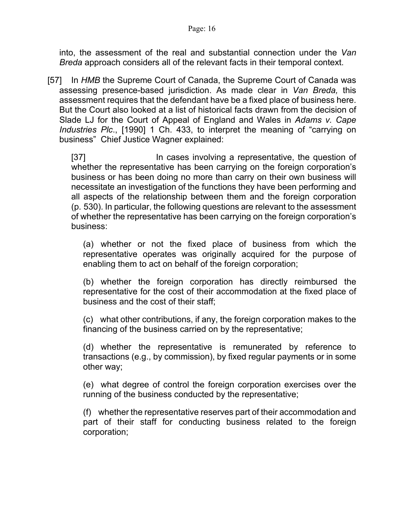into, the assessment of the real and substantial connection under the *Van Breda* approach considers all of the relevant facts in their temporal context.

[57] In *HMB* the Supreme Court of Canada, the Supreme Court of Canada was assessing presence-based jurisdiction. As made clear in *Van Breda,* this assessment requires that the defendant have be a fixed place of business here. But the Court also looked at a list of historical facts drawn from the decision of Slade LJ for the Court of Appeal of England and Wales in *Adams v. Cape Industries Plc*., [1990] 1 Ch. 433, to interpret the meaning of "carrying on business" Chief Justice Wagner explained:

[37] In cases involving a representative, the question of whether the representative has been carrying on the foreign corporation's business or has been doing no more than carry on their own business will necessitate an investigation of the functions they have been performing and all aspects of the relationship between them and the foreign corporation (p. 530). In particular, the following questions are relevant to the assessment of whether the representative has been carrying on the foreign corporation's business:

(a) whether or not the fixed place of business from which the representative operates was originally acquired for the purpose of enabling them to act on behalf of the foreign corporation;

(b) whether the foreign corporation has directly reimbursed the representative for the cost of their accommodation at the fixed place of business and the cost of their staff;

(c) what other contributions, if any, the foreign corporation makes to the financing of the business carried on by the representative;

(d) whether the representative is remunerated by reference to transactions (e.g., by commission), by fixed regular payments or in some other way;

(e) what degree of control the foreign corporation exercises over the running of the business conducted by the representative;

(f) whether the representative reserves part of their accommodation and part of their staff for conducting business related to the foreign corporation;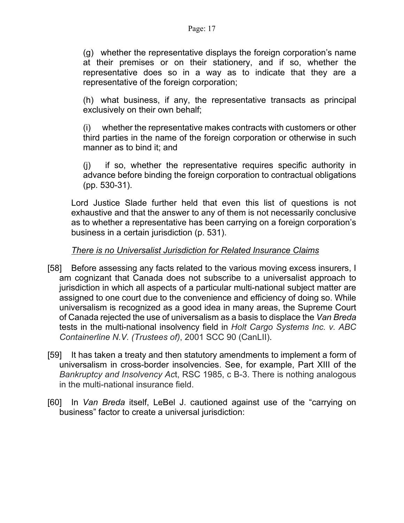(g) whether the representative displays the foreign corporation's name at their premises or on their stationery, and if so, whether the representative does so in a way as to indicate that they are a representative of the foreign corporation;

(h) what business, if any, the representative transacts as principal exclusively on their own behalf;

(i) whether the representative makes contracts with customers or other third parties in the name of the foreign corporation or otherwise in such manner as to bind it; and

(j) if so, whether the representative requires specific authority in advance before binding the foreign corporation to contractual obligations (pp. 530-31).

Lord Justice Slade further held that even this list of questions is not exhaustive and that the answer to any of them is not necessarily conclusive as to whether a representative has been carrying on a foreign corporation's business in a certain jurisdiction (p. 531).

# *There is no Universalist Jurisdiction for Related Insurance Claims*

- [58] Before assessing any facts related to the various moving excess insurers, I am cognizant that Canada does not subscribe to a universalist approach to jurisdiction in which all aspects of a particular multi-national subject matter are assigned to one court due to the convenience and efficiency of doing so. While universalism is recognized as a good idea in many areas, the Supreme Court of Canada rejected the use of universalism as a basis to displace the *Van Breda* tests in the multi-national insolvency field in *Holt Cargo Systems Inc. v. ABC Containerline N.V. (Trustees of)*, 2001 SCC 90 (CanLII).
- [59] It has taken a treaty and then statutory amendments to implement a form of universalism in cross-border insolvencies. See, for example, Part XIII of the *Bankruptcy and Insolvency Ac*t, RSC 1985, c B-3. There is nothing analogous in the multi-national insurance field.
- [60] In *Van Breda* itself, LeBel J. cautioned against use of the "carrying on business" factor to create a universal jurisdiction: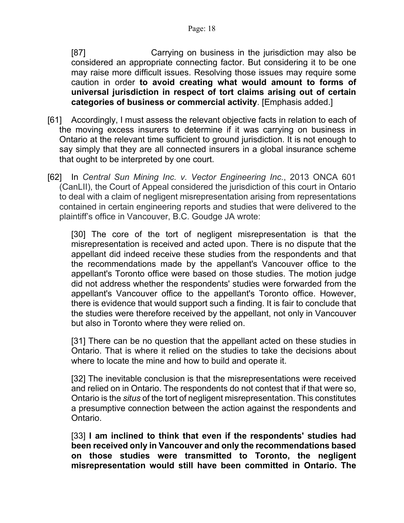[87] Carrying on business in the jurisdiction may also be considered an appropriate connecting factor. But considering it to be one may raise more difficult issues. Resolving those issues may require some caution in order **to avoid creating what would amount to forms of universal jurisdiction in respect of tort claims arising out of certain categories of business or commercial activity**. [Emphasis added.]

- [61] Accordingly, I must assess the relevant objective facts in relation to each of the moving excess insurers to determine if it was carrying on business in Ontario at the relevant time sufficient to ground jurisdiction. It is not enough to say simply that they are all connected insurers in a global insurance scheme that ought to be interpreted by one court.
- [62] In *Central Sun Mining Inc. v. Vector Engineering Inc.*, 2013 ONCA 601 (CanLII), the Court of Appeal considered the jurisdiction of this court in Ontario to deal with a claim of negligent misrepresentation arising from representations contained in certain engineering reports and studies that were delivered to the plaintiff's office in Vancouver, B.C. Goudge JA wrote:

[30] The core of the tort of negligent misrepresentation is that the misrepresentation is received and acted upon. There is no dispute that the appellant did indeed receive these studies from the respondents and that the recommendations made by the appellant's Vancouver office to the appellant's Toronto office were based on those studies. The motion judge did not address whether the respondents' studies were forwarded from the appellant's Vancouver office to the appellant's Toronto office. However, there is evidence that would support such a finding. It is fair to conclude that the studies were therefore received by the appellant, not only in Vancouver but also in Toronto where they were relied on.

[31] There can be no question that the appellant acted on these studies in Ontario. That is where it relied on the studies to take the decisions about where to locate the mine and how to build and operate it.

[32] The inevitable conclusion is that the misrepresentations were received and relied on in Ontario. The respondents do not contest that if that were so, Ontario is the *situs* of the tort of negligent misrepresentation. This constitutes a presumptive connection between the action against the respondents and Ontario.

[33] **I am inclined to think that even if the respondents' studies had been received only in Vancouver and only the recommendations based on those studies were transmitted to Toronto, the negligent misrepresentation would still have been committed in Ontario. The**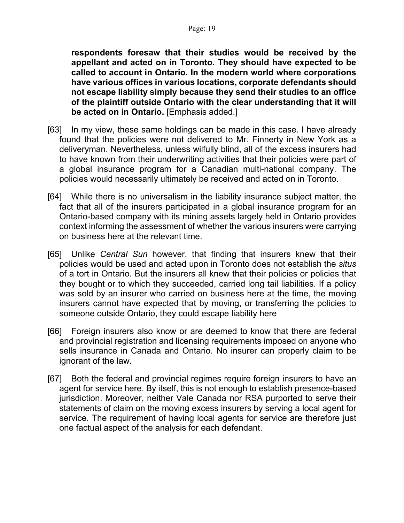**respondents foresaw that their studies would be received by the appellant and acted on in Toronto. They should have expected to be called to account in Ontario. In the modern world where corporations have various offices in various locations, corporate defendants should not escape liability simply because they send their studies to an office of the plaintiff outside Ontario with the clear understanding that it will be acted on in Ontario.** [Emphasis added.]

- [63] In my view, these same holdings can be made in this case. I have already found that the policies were not delivered to Mr. Finnerty in New York as a deliveryman. Nevertheless, unless wilfully blind, all of the excess insurers had to have known from their underwriting activities that their policies were part of a global insurance program for a Canadian multi-national company. The policies would necessarily ultimately be received and acted on in Toronto.
- [64] While there is no universalism in the liability insurance subject matter, the fact that all of the insurers participated in a global insurance program for an Ontario-based company with its mining assets largely held in Ontario provides context informing the assessment of whether the various insurers were carrying on business here at the relevant time.
- [65] Unlike *Central Sun* however, that finding that insurers knew that their policies would be used and acted upon in Toronto does not establish the *situs* of a tort in Ontario. But the insurers all knew that their policies or policies that they bought or to which they succeeded, carried long tail liabilities. If a policy was sold by an insurer who carried on business here at the time, the moving insurers cannot have expected that by moving, or transferring the policies to someone outside Ontario, they could escape liability here
- [66] Foreign insurers also know or are deemed to know that there are federal and provincial registration and licensing requirements imposed on anyone who sells insurance in Canada and Ontario. No insurer can properly claim to be ignorant of the law.
- [67] Both the federal and provincial regimes require foreign insurers to have an agent for service here. By itself, this is not enough to establish presence-based jurisdiction. Moreover, neither Vale Canada nor RSA purported to serve their statements of claim on the moving excess insurers by serving a local agent for service. The requirement of having local agents for service are therefore just one factual aspect of the analysis for each defendant.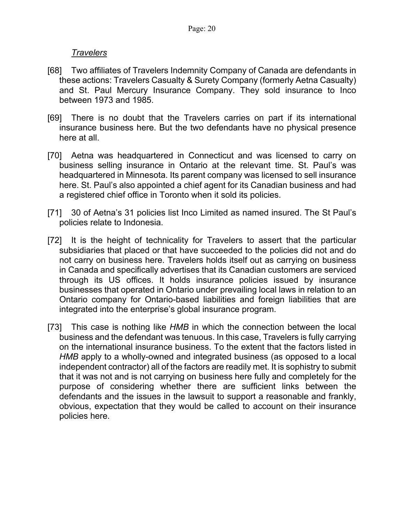## *Travelers*

- [68] Two affiliates of Travelers Indemnity Company of Canada are defendants in these actions: Travelers Casualty & Surety Company (formerly Aetna Casualty) and St. Paul Mercury Insurance Company. They sold insurance to Inco between 1973 and 1985.
- [69] There is no doubt that the Travelers carries on part if its international insurance business here. But the two defendants have no physical presence here at all.
- [70] Aetna was headquartered in Connecticut and was licensed to carry on business selling insurance in Ontario at the relevant time. St. Paul's was headquartered in Minnesota. Its parent company was licensed to sell insurance here. St. Paul's also appointed a chief agent for its Canadian business and had a registered chief office in Toronto when it sold its policies.
- [71] 30 of Aetna's 31 policies list Inco Limited as named insured. The St Paul's policies relate to Indonesia.
- [72] It is the height of technicality for Travelers to assert that the particular subsidiaries that placed or that have succeeded to the policies did not and do not carry on business here. Travelers holds itself out as carrying on business in Canada and specifically advertises that its Canadian customers are serviced through its US offices. It holds insurance policies issued by insurance businesses that operated in Ontario under prevailing local laws in relation to an Ontario company for Ontario-based liabilities and foreign liabilities that are integrated into the enterprise's global insurance program.
- [73] This case is nothing like *HMB* in which the connection between the local business and the defendant was tenuous. In this case, Travelers is fully carrying on the international insurance business. To the extent that the factors listed in *HMB* apply to a wholly-owned and integrated business (as opposed to a local independent contractor) all of the factors are readily met. It is sophistry to submit that it was not and is not carrying on business here fully and completely for the purpose of considering whether there are sufficient links between the defendants and the issues in the lawsuit to support a reasonable and frankly, obvious, expectation that they would be called to account on their insurance policies here.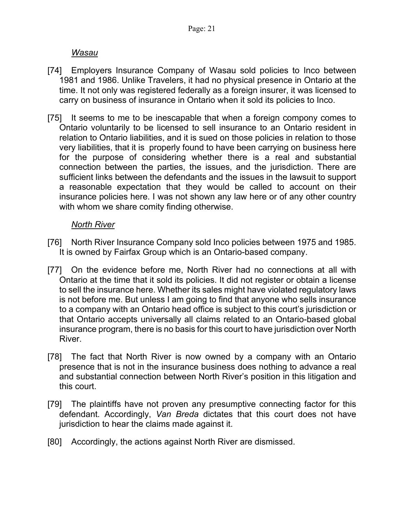*Wasau* 

- [74] Employers Insurance Company of Wasau sold policies to Inco between 1981 and 1986. Unlike Travelers, it had no physical presence in Ontario at the time. It not only was registered federally as a foreign insurer, it was licensed to carry on business of insurance in Ontario when it sold its policies to Inco.
- [75] It seems to me to be inescapable that when a foreign compony comes to Ontario voluntarily to be licensed to sell insurance to an Ontario resident in relation to Ontario liabilities, and it is sued on those policies in relation to those very liabilities, that it is properly found to have been carrying on business here for the purpose of considering whether there is a real and substantial connection between the parties, the issues, and the jurisdiction. There are sufficient links between the defendants and the issues in the lawsuit to support a reasonable expectation that they would be called to account on their insurance policies here. I was not shown any law here or of any other country with whom we share comity finding otherwise.

# *North River*

- [76] North River Insurance Company sold Inco policies between 1975 and 1985. It is owned by Fairfax Group which is an Ontario-based company.
- [77] On the evidence before me, North River had no connections at all with Ontario at the time that it sold its policies. It did not register or obtain a license to sell the insurance here. Whether its sales might have violated regulatory laws is not before me. But unless I am going to find that anyone who sells insurance to a company with an Ontario head office is subject to this court's jurisdiction or that Ontario accepts universally all claims related to an Ontario-based global insurance program, there is no basis for this court to have jurisdiction over North River.
- [78] The fact that North River is now owned by a company with an Ontario presence that is not in the insurance business does nothing to advance a real and substantial connection between North River's position in this litigation and this court.
- [79] The plaintiffs have not proven any presumptive connecting factor for this defendant. Accordingly, *Van Breda* dictates that this court does not have jurisdiction to hear the claims made against it.
- [80] Accordingly, the actions against North River are dismissed.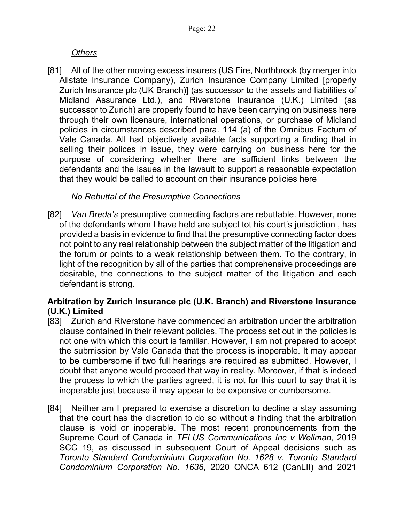# *Others*

[81] All of the other moving excess insurers (US Fire, Northbrook (by merger into Allstate Insurance Company), Zurich Insurance Company Limited [properly Zurich Insurance plc (UK Branch)] (as successor to the assets and liabilities of Midland Assurance Ltd.), and Riverstone Insurance (U.K.) Limited (as successor to Zurich) are properly found to have been carrying on business here through their own licensure, international operations, or purchase of Midland policies in circumstances described para. 114 (a) of the Omnibus Factum of Vale Canada. All had objectively available facts supporting a finding that in selling their polices in issue, they were carrying on business here for the purpose of considering whether there are sufficient links between the defendants and the issues in the lawsuit to support a reasonable expectation that they would be called to account on their insurance policies here

# *No Rebuttal of the Presumptive Connections*

[82] *Van Breda's* presumptive connecting factors are rebuttable. However, none of the defendants whom I have held are subject tot his court's jurisdiction , has provided a basis in evidence to find that the presumptive connecting factor does not point to any real relationship between the subject matter of the litigation and the forum or points to a weak relationship between them. To the contrary, in light of the recognition by all of the parties that comprehensive proceedings are desirable, the connections to the subject matter of the litigation and each defendant is strong.

# **Arbitration by Zurich Insurance plc (U.K. Branch) and Riverstone Insurance (U.K.) Limited**

- [83] Zurich and Riverstone have commenced an arbitration under the arbitration clause contained in their relevant policies. The process set out in the policies is not one with which this court is familiar. However, I am not prepared to accept the submission by Vale Canada that the process is inoperable. It may appear to be cumbersome if two full hearings are required as submitted. However, I doubt that anyone would proceed that way in reality. Moreover, if that is indeed the process to which the parties agreed, it is not for this court to say that it is inoperable just because it may appear to be expensive or cumbersome.
- [84] Neither am I prepared to exercise a discretion to decline a stay assuming that the court has the discretion to do so without a finding that the arbitration clause is void or inoperable. The most recent pronouncements from the Supreme Court of Canada in *TELUS Communications Inc v Wellman*, 2019 SCC 19, as discussed in subsequent Court of Appeal decisions such as *Toronto Standard Condominium Corporation No. 1628 v. Toronto Standard Condominium Corporation No. 1636*, 2020 ONCA 612 (CanLII) and 2021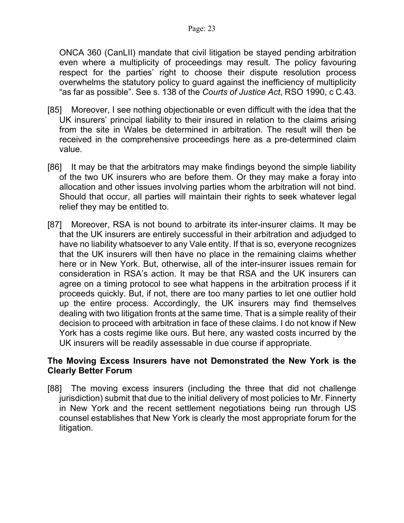ONCA 360 (CanLII) mandate that civil litigation be stayed pending arbitration even where a multiplicity of proceedings may result. The policy favouring respect for the parties' right to choose their dispute resolution process overwhelms the statutory policy to guard against the inefficiency of multiplicity "as far as possible". See s. 138 of the *Courts of Justice Act*, RSO 1990, c C.43.

- [85] Moreover, I see nothing objectionable or even difficult with the idea that the UK insurers' principal liability to their insured in relation to the claims arising from the site in Wales be determined in arbitration. The result will then be received in the comprehensive proceedings here as a pre-determined claim value.
- [86] It may be that the arbitrators may make findings beyond the simple liability of the two UK insurers who are before them. Or they may make a foray into allocation and other issues involving parties whom the arbitration will not bind. Should that occur, all parties will maintain their rights to seek whatever legal relief they may be entitled to.
- [87] Moreover, RSA is not bound to arbitrate its inter-insurer claims. It may be that the UK insurers are entirely successful in their arbitration and adjudged to have no liability whatsoever to any Vale entity. If that is so, everyone recognizes that the UK insurers will then have no place in the remaining claims whether here or in New York. But, otherwise, all of the inter-insurer issues remain for consideration in RSA's action. It may be that RSA and the UK insurers can agree on a timing protocol to see what happens in the arbitration process if it proceeds quickly. But, if not, there are too many parties to let one outlier hold up the entire process. Accordingly, the UK insurers may find themselves dealing with two litigation fronts at the same time. That is a simple reality of their decision to proceed with arbitration in face of these claims. I do not know if New York has a costs regime like ours. But here, any wasted costs incurred by the UK insurers will be readily assessable in due course if appropriate.

# **The Moving Excess Insurers have not Demonstrated the New York is the Clearly Better Forum**

[88] The moving excess insurers (including the three that did not challenge jurisdiction) submit that due to the initial delivery of most policies to Mr. Finnerty in New York and the recent settlement negotiations being run through US counsel establishes that New York is clearly the most appropriate forum for the litigation.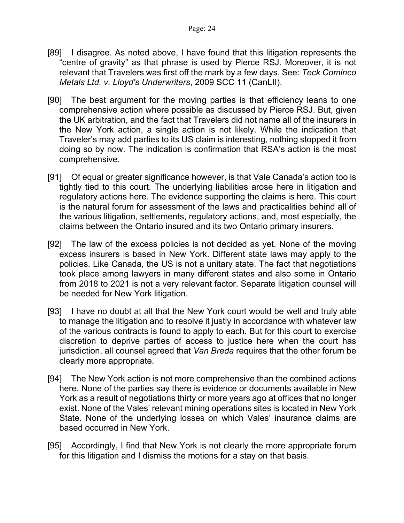- [89] I disagree. As noted above, I have found that this litigation represents the "centre of gravity" as that phrase is used by Pierce RSJ. Moreover, it is not relevant that Travelers was first off the mark by a few days. See: *Teck Cominco Metals Ltd. v. Lloyd's Underwriters*, 2009 SCC 11 (CanLII).
- [90] The best argument for the moving parties is that efficiency leans to one comprehensive action where possible as discussed by Pierce RSJ. But, given the UK arbitration, and the fact that Travelers did not name all of the insurers in the New York action, a single action is not likely. While the indication that Traveler's may add parties to its US claim is interesting, nothing stopped it from doing so by now. The indication is confirmation that RSA's action is the most comprehensive.
- [91] Of equal or greater significance however, is that Vale Canada's action too is tightly tied to this court. The underlying liabilities arose here in litigation and regulatory actions here. The evidence supporting the claims is here. This court is the natural forum for assessment of the laws and practicalities behind all of the various litigation, settlements, regulatory actions, and, most especially, the claims between the Ontario insured and its two Ontario primary insurers.
- [92] The law of the excess policies is not decided as yet. None of the moving excess insurers is based in New York. Different state laws may apply to the policies. Like Canada, the US is not a unitary state. The fact that negotiations took place among lawyers in many different states and also some in Ontario from 2018 to 2021 is not a very relevant factor. Separate litigation counsel will be needed for New York litigation.
- [93] I have no doubt at all that the New York court would be well and truly able to manage the litigation and to resolve it justly in accordance with whatever law of the various contracts is found to apply to each. But for this court to exercise discretion to deprive parties of access to justice here when the court has jurisdiction, all counsel agreed that *Van Breda* requires that the other forum be clearly more appropriate.
- [94] The New York action is not more comprehensive than the combined actions here. None of the parties say there is evidence or documents available in New York as a result of negotiations thirty or more years ago at offices that no longer exist. None of the Vales' relevant mining operations sites is located in New York State. None of the underlying losses on which Vales' insurance claims are based occurred in New York.
- [95] Accordingly, I find that New York is not clearly the more appropriate forum for this litigation and I dismiss the motions for a stay on that basis.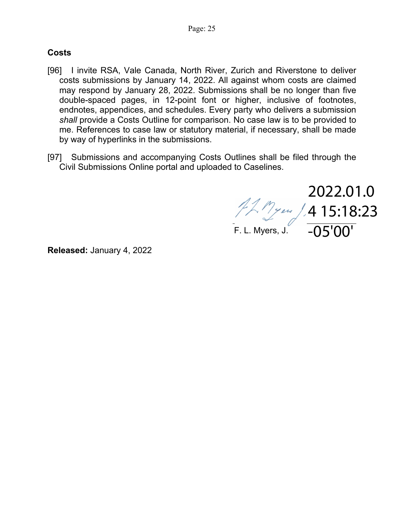## **Costs**

- [96] I invite RSA, Vale Canada, North River, Zurich and Riverstone to deliver costs submissions by January 14, 2022. All against whom costs are claimed may respond by January 28, 2022. Submissions shall be no longer than five double-spaced pages, in 12-point font or higher, inclusive of footnotes, endnotes, appendices, and schedules. Every party who delivers a submission *shall* provide a Costs Outline for comparison. No case law is to be provided to me. References to case law or statutory material, if necessary, shall be made by way of hyperlinks in the submissions.
- [97] Submissions and accompanying Costs Outlines shall be filed through the Civil Submissions Online portal and uploaded to Caselines.

2022.01.0 4 15:18:23 -05'00'

F. L. Myers, J.

**Released:** January 4, 2022